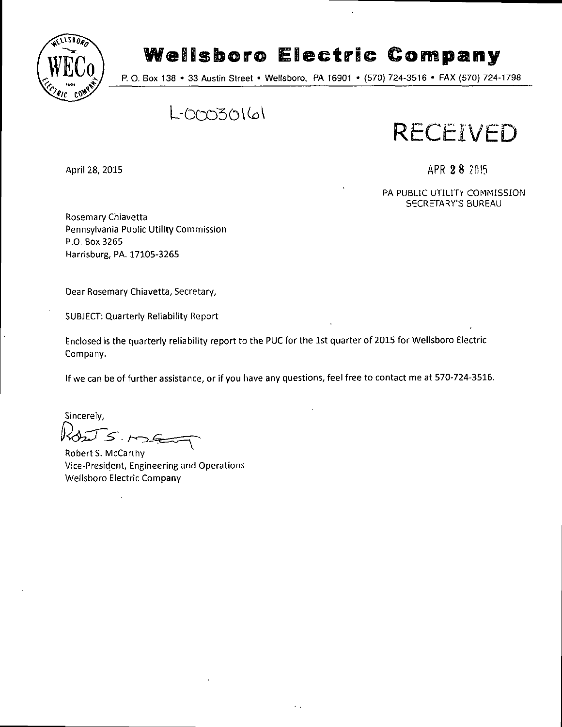

# **Wellsboro Electric Company**

P. O. Box 138 • 33 Austin Street • Wellsboro, PA 16901 • (570) 724-3516 • FAX (570) 724-1798

 $L-CCO30161$ 

**RECEIVED** 

April 28, 2015 **APR 28 7.0.15** 

PA PUBLIC UTILITY COMMISSION SECRETARY'S BUREAU

Rosemary Chiavetta Pennsylvania Public Utility Commission P.O. Box 3265 Harrisburg, PA. 17105-3265

Dear Rosemary Chiavetta, Secretary,

SUBJECT: Quarterly Reliability Report

Enclosed is the quarterly reliability report to the PUC for the 1st quarter of 2015 for Wellsboro Electric Company.

If we can be of further assistance, or if you have any questions, feel free to contact me at 570-724-3516.

Sincerely, IS.ME

Robert S. McCarthy Vice-President, Engineering and Operations Wellsboro Electric Company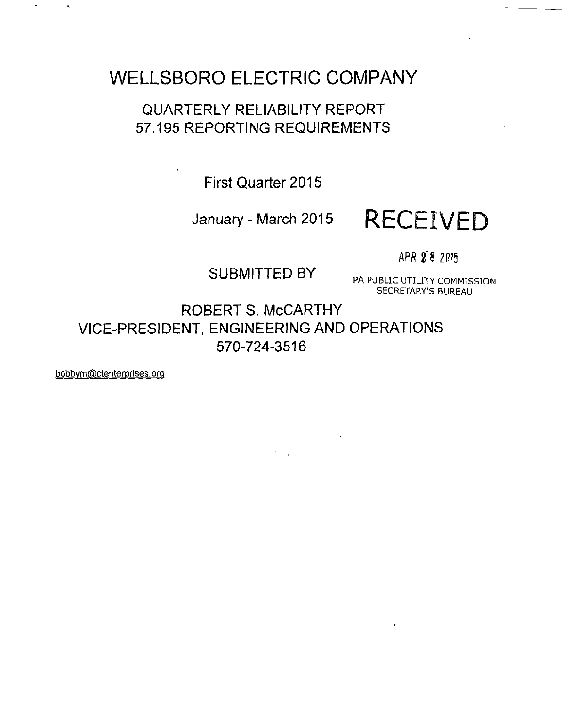## **WELLSBORO ELECTRIC COMPANY**

### QUARTERLY RELIABILITY REPORT 57.195 REPORTING REQUIREMENTS

**First Quarter 2015** 

# **January - March 2015 RECEIVED**

APR 2'8 ?0I5

SUBMITTED BY PA PUBLIC UTILITY COMMISSION

SECRETARY'S BUREAU

ROBERT S. McCARTHY VICE-PRESIDENT, ENGINEERING AND OPERATIONS 570-724-3516

 $\mathcal{O}(\mathcal{A})$  .

bobbvm@ctenterprises,orq

 $\Delta$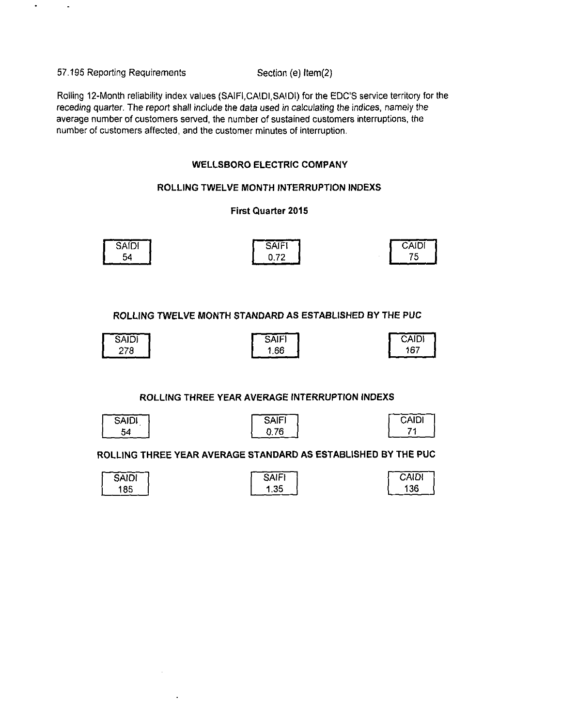57.195 Reporting Requirements Section (e) ltem(2}

Rolling 12-Month reliability index values (SAIFI,CAIDI,SAIDI) for the EDC'S service territory for the receding quarter. The report shall include the data used in calculating the indices, namely the average number of customers served, the number of sustained customers interruptions, the number of customers affected, and the customer minutes of interruption.

#### **WELLSBORO ELECTRIC COMPANY**

#### **ROLLING TWELVE MONTH INTERRUPTION INDEXS**

#### **First Quarter 2015**

| SAIDI | a simple<br>►<br>יורש | CAIDI |
|-------|-----------------------|-------|
| 54    | 0.70<br><b>U.</b><br> | '5    |

**ROLLING TWELVE MONTH STANDARD AS ESTABLISHED BY THE PUC** 

| <b>SAIDI</b> | <b>SAIFI</b> | CAIDI |
|--------------|--------------|-------|
| 278          | .66<br>л     | 167   |

#### **ROLLING THREE YEAR AVERAGE INTERRUPTION INDEXS**

| SAIDI |  |
|-------|--|
| 54    |  |

| <b>SAIFI</b> |  |
|--------------|--|
| 0.76         |  |

| Caidi |  |
|-------|--|
| 71    |  |
|       |  |

**ROLLING THREE YEAR AVERAGE STANDARD AS ESTABLISHED BY THE PUC** 

| <b>SAIDI</b> | <b>SAIFI</b> | <b>CAIDI</b> |
|--------------|--------------|--------------|
| 185          | .35          | i 36         |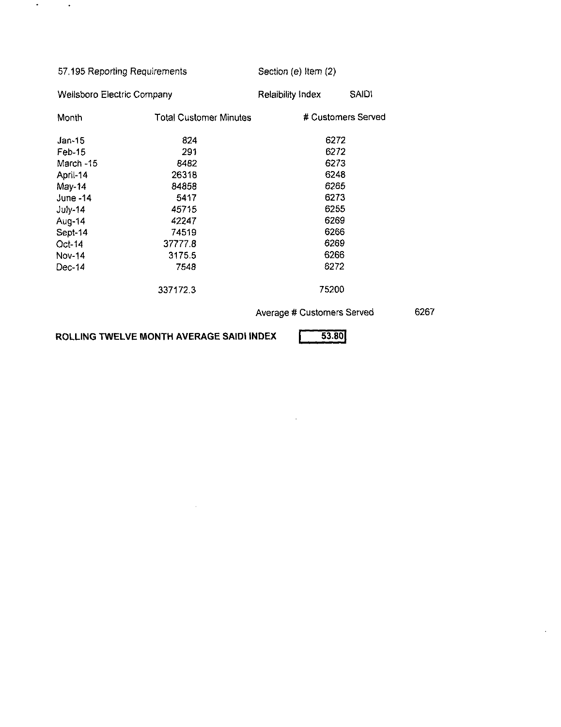| 57.195 Reporting Requirements          |       | Section (e) Item $(2)$ |  |  |
|----------------------------------------|-------|------------------------|--|--|
| Wellsboro Electric Company             |       | <b>SAIDI</b>           |  |  |
| <b>Total Customer Minutes</b><br>Month |       | # Customers Served     |  |  |
| 824                                    | 6272  |                        |  |  |
| 291                                    | 6272  |                        |  |  |
| 8482                                   | 6273  |                        |  |  |
| 26318                                  | 6248  |                        |  |  |
| April-14<br>May-14<br>84858            |       | 6265                   |  |  |
| 5417                                   | 6273  |                        |  |  |
| 45715                                  | 6255  |                        |  |  |
| 42247                                  | 6269  |                        |  |  |
| Aug-14<br>74519<br>Sept-14             |       | 6266                   |  |  |
| 37777.8                                | 6269  |                        |  |  |
| 3175.5                                 | 6266  |                        |  |  |
| 7548                                   | 6272  |                        |  |  |
| 337172.3                               | 75200 |                        |  |  |
|                                        |       | Relaibility Index      |  |  |

**Average # Customers Served** 

 $\sim 10^7$ 

6267

 $\bar{z}$ 

ROLLING TWELVE MONTH AVERAGE SAIDI INDEX **[14]** 53.80

 $\sim$ 

 $\sigma_{\rm{max}}=0.5$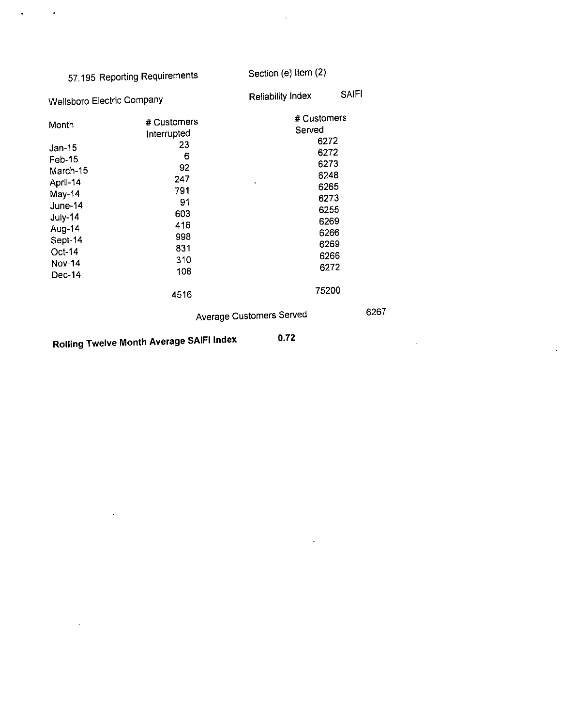|                                                                                                                                               | 57.195 Reporting Requirements                                                                                     | Section (e) Item (2)       |                                                                                                       |
|-----------------------------------------------------------------------------------------------------------------------------------------------|-------------------------------------------------------------------------------------------------------------------|----------------------------|-------------------------------------------------------------------------------------------------------|
| Wellsboro Electric Company                                                                                                                    |                                                                                                                   | Reliability Index          | <b>SAIFI</b>                                                                                          |
| Month<br>$Jan-15$<br>Feb-15<br>March-15<br>April-14<br>May-14<br>June-14<br>July-14<br>Aug-14<br>Sept-14<br>Oct-14<br><b>Nov-14</b><br>Dec-14 | # Customers<br>Interrupted<br>23<br>6<br>92<br>247<br>791<br>91<br>603<br>416<br>998<br>831<br>310<br>108<br>4516 | # Customers<br>Served<br>, | 6272<br>6272<br>6273<br>6248<br>6265<br>6273<br>6255<br>6269<br>6266<br>6269<br>6266<br>6272<br>75200 |
|                                                                                                                                               |                                                                                                                   | Average Customers Served   |                                                                                                       |

 $\bar{\mathbf{z}}$ 

 $\sim$   $\sim$   $\sim$ 

6267

 $\sim$   $\sim$ 

 $\sim 10^{11}$ 

 $\ddot{\phantom{1}}$ 

**Rolling Twelve Month Average SAIFI Index 0.72** 

 $\sim$ 

 $\mathbb{Z}^2$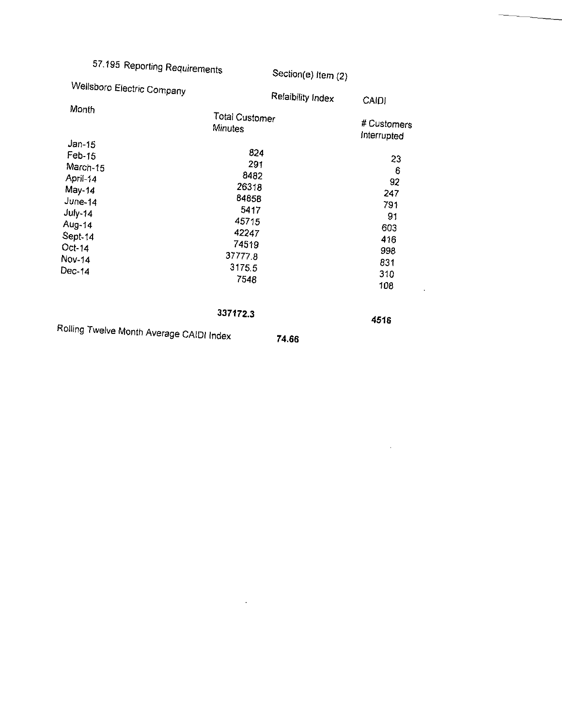# 57.195 Reporting Requirements

Section(e) Item (2)

 $\bar{\mathcal{A}}$ 

 $\mathcal{A}$ 

|                                          | $\sim$                |              |  |
|------------------------------------------|-----------------------|--------------|--|
| Wellsboro Electric Company               | Relaibility Index     | <b>CAIDI</b> |  |
| Month                                    | <b>Total Customer</b> |              |  |
|                                          | <b>Minutes</b>        | # Customers  |  |
| $Jan-15$                                 |                       | Interrupted  |  |
| Feb-15                                   | 824                   | 23           |  |
| March-15                                 | 291                   | 6            |  |
| April-14                                 | 8482                  | 92           |  |
| May-14                                   | 26318                 | 247          |  |
| June-14                                  | 84858                 | 791          |  |
| $July-14$                                | 5417                  | 91           |  |
| Aug-14                                   | 45715                 |              |  |
| Sept-14                                  | 42247                 | 603          |  |
| $Oct-14$                                 | 74519                 | 416          |  |
| Nov-14                                   | 377778                | 998          |  |
| $Dec-14$                                 | 3175.5                | 831          |  |
|                                          | 7548                  | 310          |  |
|                                          |                       | 108          |  |
|                                          | 337172.3              | 4516         |  |
| Rolling Twelve Month Average CAIDI Index |                       |              |  |
|                                          | 74.66                 |              |  |

 $\mathcal{L}^{\mathcal{L}}$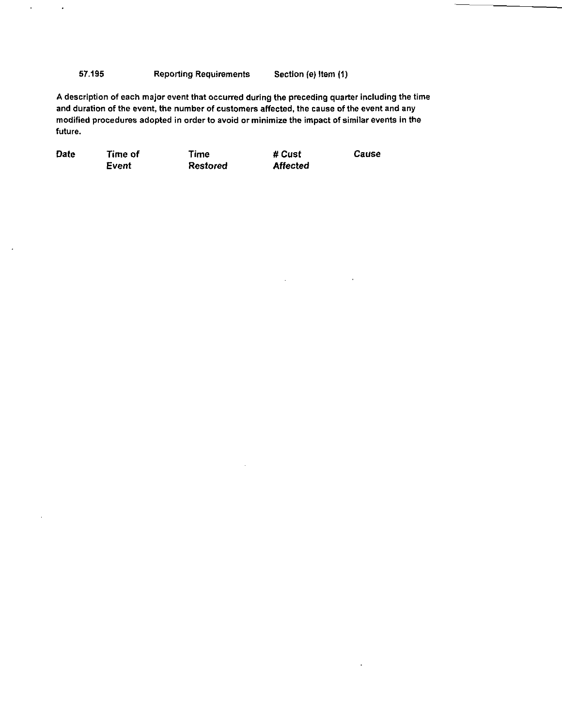57.195 Reporting Requirements Section (e) Item (1)

 $\epsilon$ 

 $\bullet$ 

A description of each major event that occurred during the preceding quarter including the time and duration of the event, the number of customers affected, the cause of the event and any modified procedures adopted in order to avoid or minimize the impact of similar events in the future.

| Date | Time of | Time            | # Cust   | Cause |
|------|---------|-----------------|----------|-------|
|      | Event   | <b>Restored</b> | Affected |       |

l,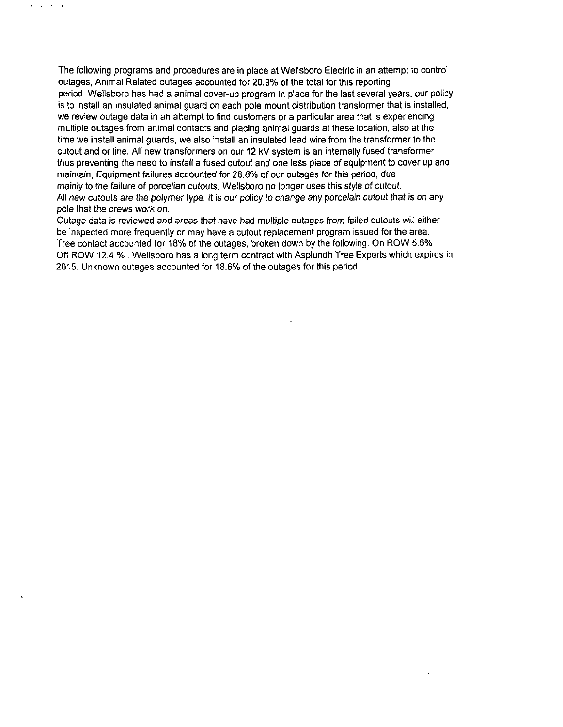The following programs and procedures are in place at Wellsboro Electric in an attempt to control outages, Animal Related outages accounted for 20.9% of the total for this reporting period, Wellsboro has had a animal cover-up program in place for the last several years, our policy is to install an insulated animal guard on each pole mount distribution transformer that is installed, we review outage data in an attempt to find customers or a particular area that is experiencing multiple outages from animal contacts and placing animal guards at these location, also at the time we install animal guards, we also install an insulated lead wire from the transformer to the cutout and or line. All new transformers on our 12 kV system is an internally fused transformer thus preventing the need to install a fused cutout and one less piece of equipment to cover up and maintain, Equipment failures accounted for 28.8% of our outages for this period, due mainiy to the failure of porcelian cutouts, Wellsboro no longer uses this style of cutout. All new cutouts are the polymer type, it is our policy to change any porcelain cutout that is on any pole that the crews work on.

 $\Delta \sim 10^{-11}$ 

Outage data is reviewed and areas that have had multiple outages from failed cutouts will either be inspected more frequently or may have a cutout replacement program issued for the area. Tree contact accounted for 18% of the outages, broken down by the following. On ROW 5.6% Off ROW 12.4 % . Wellsboro has a long term contract with Asplundh Tree Experts which expires in 2015. Unknown outages accounted for 18.6% of the outages for this period.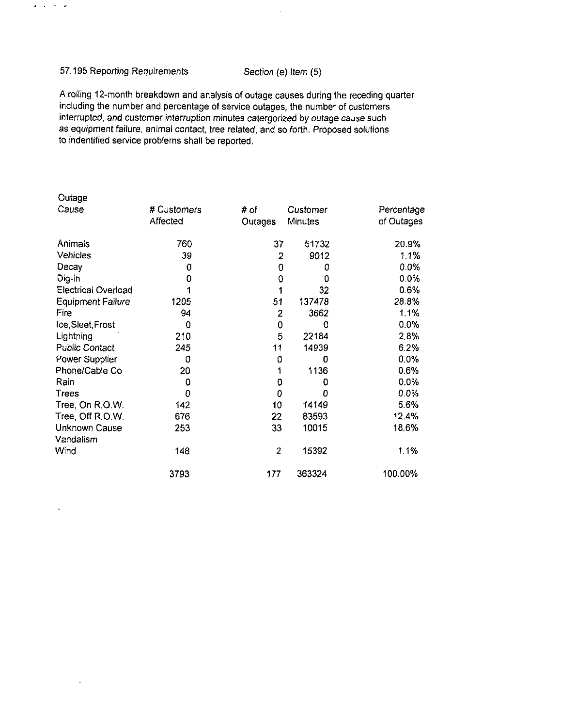#### 57.195 Reporting Requirements Section (e) Item (5)

 $\mathbf{z}=\mathbf{z}=\mathbf{z}=\mathbf{z}$ 

 $\ddot{\phantom{a}}$ 

A rolling 12-month breakdown and analysis of outage causes during the receding quarter including the number and percentage of service outages, the number of customers interrupted, and customer interruption minutes catergorized by outage cause such as equipment failure, animal contact, tree related, and so forth. Proposed solutions to indentified service problems shall be reported.

| Outage                     |             |         |          |            |
|----------------------------|-------------|---------|----------|------------|
| Cause                      | # Customers | # of    | Customer | Percentage |
|                            | Affected    | Outages | Minutes  | of Outages |
| Animals                    | 760         | 37      | 51732    | 20.9%      |
| Vehicles                   | 39          | 2       | 9012     | 1.1%       |
| Decay                      | 0           | 0       | 0        | 0.0%       |
| Dig-in                     | 0           | 0       | 0        | 0.0%       |
| <b>Electrical Overload</b> |             |         | 32       | 0.6%       |
| <b>Equipment Failure</b>   | 1205        | 51      | 137478   | 28.8%      |
| Fire                       | 94          | 2       | 3662     | 1.1%       |
| Ice, Sleet, Frost          | 0           | 0       | 0        | 0.0%       |
| Lightning                  | 210         | 5       | 22184    | 2.8%       |
| <b>Public Contact</b>      | 245         | 11      | 14939    | 6.2%       |
| Power Supplier             | 0           | 0       | 0        | 0.0%       |
| Phone/Cable Co             | 20          |         | 1136     | 0.6%       |
| Rain                       | 0           | 0       | 0        | 0.0%       |
| Trees                      | 0           | 0       | 0        | 0.0%       |
| Tree, On R.O.W.            | 142         | 10      | 14149    | 5.6%       |
| Tree, Off R.O.W.           | 676         | 22      | 83593    | 12.4%      |
| Unknown Cause              | 253         | 33      | 10015    | 18.6%      |
| Vandalism                  |             |         |          |            |
| Wind                       | 148         | 2       | 15392    | 1.1%       |
|                            | 3793        | 177     | 363324   | 100.00%    |